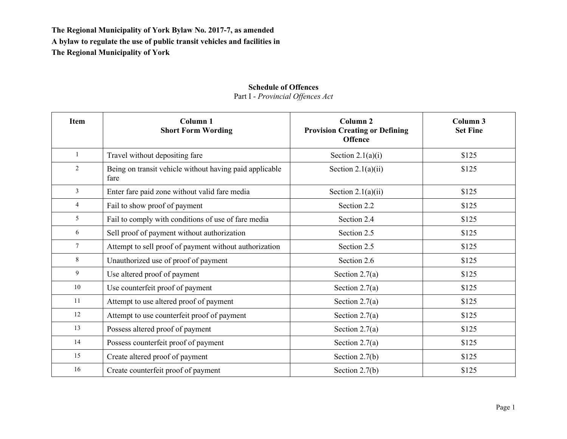## **Schedule of Offences**

Part I - *Provincial Offences Act*

| <b>Item</b>     | Column <sub>1</sub><br><b>Short Form Wording</b>                | Column <sub>2</sub><br><b>Provision Creating or Defining</b><br><b>Offence</b> | Column <sub>3</sub><br><b>Set Fine</b> |
|-----------------|-----------------------------------------------------------------|--------------------------------------------------------------------------------|----------------------------------------|
| $\mathbf{1}$    | Travel without depositing fare                                  | Section $2.1(a)(i)$                                                            | \$125                                  |
| 2               | Being on transit vehicle without having paid applicable<br>fare | Section $2.1(a)(ii)$                                                           | \$125                                  |
| $\mathfrak{Z}$  | Enter fare paid zone without valid fare media                   | Section $2.1(a)(ii)$                                                           | \$125                                  |
| $\overline{4}$  | Fail to show proof of payment                                   | Section 2.2                                                                    | \$125                                  |
| 5               | Fail to comply with conditions of use of fare media             | Section 2.4                                                                    | \$125                                  |
| 6               | Sell proof of payment without authorization                     | Section 2.5                                                                    | \$125                                  |
| $7\overline{ }$ | Attempt to sell proof of payment without authorization          | Section 2.5                                                                    | \$125                                  |
| 8               | Unauthorized use of proof of payment                            | Section 2.6                                                                    | \$125                                  |
| 9               | Use altered proof of payment                                    | Section $2.7(a)$                                                               | \$125                                  |
| 10              | Use counterfeit proof of payment                                | Section $2.7(a)$                                                               | \$125                                  |
| 11              | Attempt to use altered proof of payment                         | Section $2.7(a)$                                                               | \$125                                  |
| 12              | Attempt to use counterfeit proof of payment                     | Section $2.7(a)$                                                               | \$125                                  |
| 13              | Possess altered proof of payment                                | Section $2.7(a)$                                                               | \$125                                  |
| 14              | Possess counterfeit proof of payment                            | Section $2.7(a)$                                                               | \$125                                  |
| 15              | Create altered proof of payment                                 | Section $2.7(b)$                                                               | \$125                                  |
| 16              | Create counterfeit proof of payment                             | Section $2.7(b)$                                                               | \$125                                  |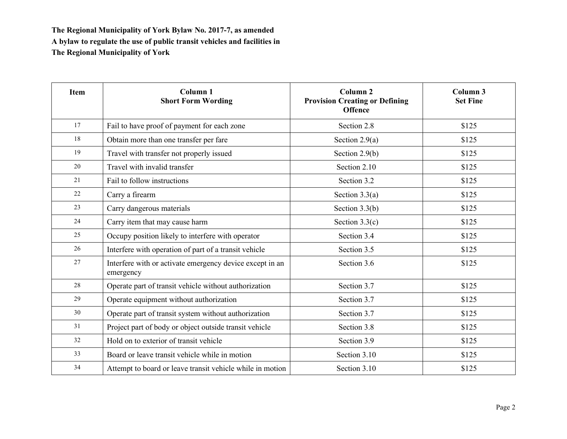| <b>Item</b> | Column <sub>1</sub><br><b>Short Form Wording</b>                      | Column <sub>2</sub><br><b>Provision Creating or Defining</b><br><b>Offence</b> | Column 3<br><b>Set Fine</b> |
|-------------|-----------------------------------------------------------------------|--------------------------------------------------------------------------------|-----------------------------|
| 17          | Fail to have proof of payment for each zone                           | Section 2.8                                                                    | \$125                       |
| 18          | Obtain more than one transfer per fare                                | Section $2.9(a)$                                                               | \$125                       |
| 19          | Travel with transfer not properly issued                              | Section $2.9(b)$                                                               | \$125                       |
| 20          | Travel with invalid transfer                                          | Section 2.10                                                                   | \$125                       |
| 21          | Fail to follow instructions                                           | Section 3.2                                                                    | \$125                       |
| 22          | Carry a firearm                                                       | Section $3.3(a)$                                                               | \$125                       |
| 23          | Carry dangerous materials                                             | Section $3.3(b)$                                                               | \$125                       |
| 24          | Carry item that may cause harm                                        | Section $3.3(c)$                                                               | \$125                       |
| 25          | Occupy position likely to interfere with operator                     | Section 3.4                                                                    | \$125                       |
| 26          | Interfere with operation of part of a transit vehicle                 | Section 3.5                                                                    | \$125                       |
| 27          | Interfere with or activate emergency device except in an<br>emergency | Section 3.6                                                                    | \$125                       |
| 28          | Operate part of transit vehicle without authorization                 | Section 3.7                                                                    | \$125                       |
| 29          | Operate equipment without authorization                               | Section 3.7                                                                    | \$125                       |
| 30          | Operate part of transit system without authorization                  | Section 3.7                                                                    | \$125                       |
| 31          | Project part of body or object outside transit vehicle                | Section 3.8                                                                    | \$125                       |
| 32          | Hold on to exterior of transit vehicle                                | Section 3.9                                                                    | \$125                       |
| 33          | Board or leave transit vehicle while in motion                        | Section 3.10                                                                   | \$125                       |
| 34          | Attempt to board or leave transit vehicle while in motion             | Section 3.10                                                                   | \$125                       |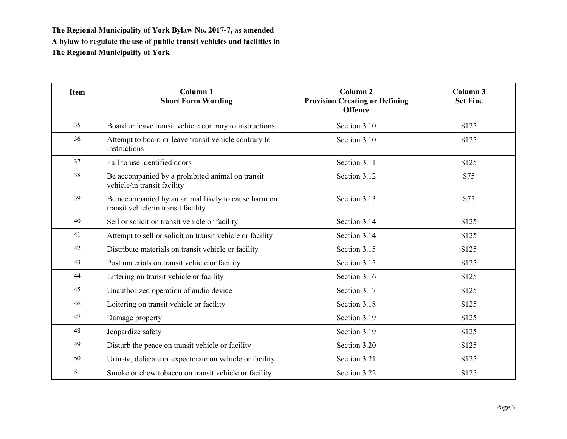| <b>Item</b> | Column <sub>1</sub><br><b>Short Form Wording</b>                                           | Column <sub>2</sub><br><b>Provision Creating or Defining</b><br><b>Offence</b> | Column <sub>3</sub><br><b>Set Fine</b> |
|-------------|--------------------------------------------------------------------------------------------|--------------------------------------------------------------------------------|----------------------------------------|
| 35          | Board or leave transit vehicle contrary to instructions                                    | Section 3.10                                                                   | \$125                                  |
| 36          | Attempt to board or leave transit vehicle contrary to<br>instructions                      | Section 3.10                                                                   | \$125                                  |
| 37          | Fail to use identified doors                                                               | Section 3.11                                                                   | \$125                                  |
| 38          | Be accompanied by a prohibited animal on transit<br>vehicle/in transit facility            | Section 3.12                                                                   | \$75                                   |
| 39          | Be accompanied by an animal likely to cause harm on<br>transit vehicle/in transit facility | Section 3.13                                                                   | \$75                                   |
| 40          | Sell or solicit on transit vehicle or facility                                             | Section 3.14                                                                   | \$125                                  |
| 41          | Attempt to sell or solicit on transit vehicle or facility                                  | Section 3.14                                                                   | \$125                                  |
| 42          | Distribute materials on transit vehicle or facility                                        | Section 3.15                                                                   | \$125                                  |
| 43          | Post materials on transit vehicle or facility                                              | Section 3.15                                                                   | \$125                                  |
| 44          | Littering on transit vehicle or facility                                                   | Section 3.16                                                                   | \$125                                  |
| 45          | Unauthorized operation of audio device                                                     | Section 3.17                                                                   | \$125                                  |
| 46          | Loitering on transit vehicle or facility                                                   | Section 3.18                                                                   | \$125                                  |
| 47          | Damage property                                                                            | Section 3.19                                                                   | \$125                                  |
| 48          | Jeopardize safety                                                                          | Section 3.19                                                                   | \$125                                  |
| 49          | Disturb the peace on transit vehicle or facility                                           | Section 3.20                                                                   | \$125                                  |
| 50          | Urinate, defecate or expectorate on vehicle or facility                                    | Section 3.21                                                                   | \$125                                  |
| 51          | Smoke or chew tobacco on transit vehicle or facility                                       | Section 3.22                                                                   | \$125                                  |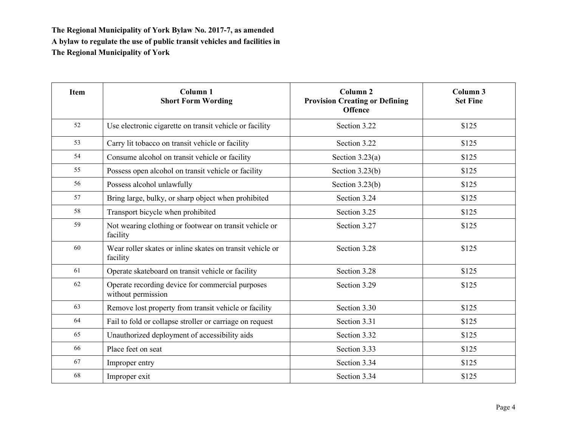| <b>Item</b> | Column <sub>1</sub><br><b>Short Form Wording</b>                       | Column <sub>2</sub><br><b>Provision Creating or Defining</b><br><b>Offence</b> | Column 3<br><b>Set Fine</b> |
|-------------|------------------------------------------------------------------------|--------------------------------------------------------------------------------|-----------------------------|
| 52          | Use electronic cigarette on transit vehicle or facility                | Section 3.22                                                                   | \$125                       |
| 53          | Carry lit tobacco on transit vehicle or facility                       | Section 3.22                                                                   | \$125                       |
| 54          | Consume alcohol on transit vehicle or facility                         | Section $3.23(a)$                                                              | \$125                       |
| 55          | Possess open alcohol on transit vehicle or facility                    | Section $3.23(b)$                                                              | \$125                       |
| 56          | Possess alcohol unlawfully                                             | Section $3.23(b)$                                                              | \$125                       |
| 57          | Bring large, bulky, or sharp object when prohibited                    | Section 3.24                                                                   | \$125                       |
| 58          | Transport bicycle when prohibited                                      | Section 3.25                                                                   | \$125                       |
| 59          | Not wearing clothing or footwear on transit vehicle or<br>facility     | Section 3.27                                                                   | \$125                       |
| 60          | Wear roller skates or inline skates on transit vehicle or<br>facility  | Section 3.28                                                                   | \$125                       |
| 61          | Operate skateboard on transit vehicle or facility                      | Section 3.28                                                                   | \$125                       |
| 62          | Operate recording device for commercial purposes<br>without permission | Section 3.29                                                                   | \$125                       |
| 63          | Remove lost property from transit vehicle or facility                  | Section 3.30                                                                   | \$125                       |
| 64          | Fail to fold or collapse stroller or carriage on request               | Section 3.31                                                                   | \$125                       |
| 65          | Unauthorized deployment of accessibility aids                          | Section 3.32                                                                   | \$125                       |
| 66          | Place feet on seat                                                     | Section 3.33                                                                   | \$125                       |
| 67          | Improper entry                                                         | Section 3.34                                                                   | \$125                       |
| 68          | Improper exit                                                          | Section 3.34                                                                   | \$125                       |